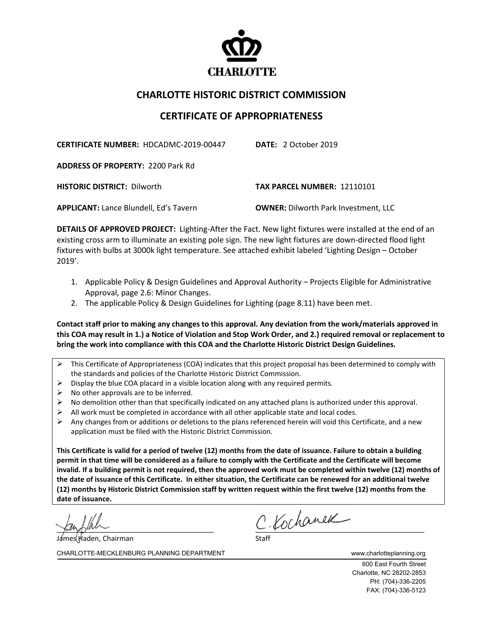

## **CHARLOTTE HISTORIC DISTRICT COMMISSION**

## **CERTIFICATE OF APPROPRIATENESS**

**CERTIFICATE NUMBER:** HDCADMC-2019-00447 **DATE:** 2 October 2019

**ADDRESS OF PROPERTY:** 2200 Park Rd

**HISTORIC DISTRICT:** Dilworth **TAX PARCEL NUMBER:** 12110101

**APPLICANT:** Lance Blundell, Ed's Tavern **OWNER:** Dilworth Park Investment, LLC

**DETAILS OF APPROVED PROJECT:** Lighting-After the Fact. New light fixtures were installed at the end of an existing cross arm to illuminate an existing pole sign. The new light fixtures are down-directed flood light fixtures with bulbs at 3000k light temperature. See attached exhibit labeled 'Lighting Design – October 2019'.

- 1. Applicable Policy & Design Guidelines and Approval Authority Projects Eligible for Administrative Approval, page 2.6: Minor Changes.
- 2. The applicable Policy & Design Guidelines for Lighting (page 8.11) have been met.

**Contact staff prior to making any changes to this approval. Any deviation from the work/materials approved in this COA may result in 1.) a Notice of Violation and Stop Work Order, and 2.) required removal or replacement to bring the work into compliance with this COA and the Charlotte Historic District Design Guidelines.**

- This Certificate of Appropriateness (COA) indicates that this project proposal has been determined to comply with the standards and policies of the Charlotte Historic District Commission.
- $\triangleright$  Display the blue COA placard in a visible location along with any required permits.
- $\triangleright$  No other approvals are to be inferred.
- $\triangleright$  No demolition other than that specifically indicated on any attached plans is authorized under this approval.
- $\triangleright$  All work must be completed in accordance with all other applicable state and local codes.
- Any changes from or additions or deletions to the plans referenced herein will void this Certificate, and a new application must be filed with the Historic District Commission.

**This Certificate is valid for a period of twelve (12) months from the date of issuance. Failure to obtain a building permit in that time will be considered as a failure to comply with the Certificate and the Certificate will become invalid. If a building permit is not required, then the approved work must be completed within twelve (12) months of the date of issuance of this Certificate. In either situation, the Certificate can be renewed for an additional twelve (12) months by Historic District Commission staff by written request within the first twelve (12) months from the date of issuance.**

l Haden, Chairman

 $c$  Kochanek

CHARLOTTE-MECKLENBURG PLANNING DEPARTMENT WWW.charlotteplanning.org

600 East Fourth Street Charlotte, NC 28202-2853 PH: (704)-336-2205 FAX: (704)-336-5123